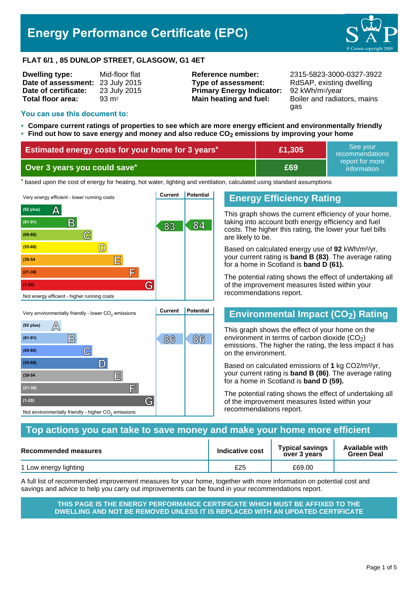# **Energy Performance Certificate (EPC)**



#### **FLAT 6/1 , 85 DUNLOP STREET, GLASGOW, G1 4ET**

| Mid-floor flat     |
|--------------------|
| 23 July 2015       |
| 23 July 2015       |
| $93 \, \text{m}^2$ |
|                    |

**Type of assessment:** RdSAP, existing dwelling **Primary Energy Indicator:** 92 kWh/m2/year **Main heating and fuel:** Boiler and radiators, mains

**Reference number:** 2315-5823-3000-0327-3922 gas

#### **You can use this document to:**

 $(92 \text{ plus})$   $\mathbb{A}$ 

**(69-80) C**

**(55-68) D**

**(39-54 E**

**(21-38) F**

Not environmentally friendly - higher  $\mathrm{CO}_2$  emissions

**(1-20) G**

- **Compare current ratings of properties to see which are more energy efficient and environmentally friendly**
- **Find out how to save energy and money and also reduce CO2 emissions by improving your home**

| Estimated energy costs for your home for 3 years* | £1,305 | l See vour⊥<br>recommendations |
|---------------------------------------------------|--------|--------------------------------|
| Over 3 years you could save*                      | £69    | report for more<br>information |

thased upon the cost of energy for heating, hot water, lighting and ventilation, calculated using standard assumptions



**B 86 86 (81-91)**

## **Energy Efficiency Rating**

This graph shows the current efficiency of your home, taking into account both energy efficiency and fuel costs. The higher this rating, the lower your fuel bills are likely to be.

Based on calculated energy use of **92** kWh/m²/yr, your current rating is **band B (83)**. The average rating for a home in Scotland is **band D (61).**

The potential rating shows the effect of undertaking all of the improvement measures listed within your recommendations report.

# **Environmental Impact (CO2) Rating**

This graph shows the effect of your home on the environment in terms of carbon dioxide  $(CO<sub>2</sub>)$ emissions. The higher the rating, the less impact it has on the environment.

Based on calculated emissions of **1** kg CO2/m²/yr, your current rating is **band B (86)**. The average rating for a home in Scotland is **band D (59).**

The potential rating shows the effect of undertaking all of the improvement measures listed within your recommendations report.

#### **Top actions you can take to save money and make your home more efficient**

| <b>Recommended measures</b> | Indicative cost | <b>Typical savings</b><br>over 3 years | <b>Available with</b><br><b>Green Deal</b> |
|-----------------------------|-----------------|----------------------------------------|--------------------------------------------|
| 1 Low energy lighting       | £25             | £69.00                                 |                                            |

A full list of recommended improvement measures for your home, together with more information on potential cost and savings and advice to help you carry out improvements can be found in your recommendations report.

**THIS PAGE IS THE ENERGY PERFORMANCE CERTIFICATE WHICH MUST BE AFFIXED TO THE DWELLING AND NOT BE REMOVED UNLESS IT IS REPLACED WITH AN UPDATED CERTIFICATE**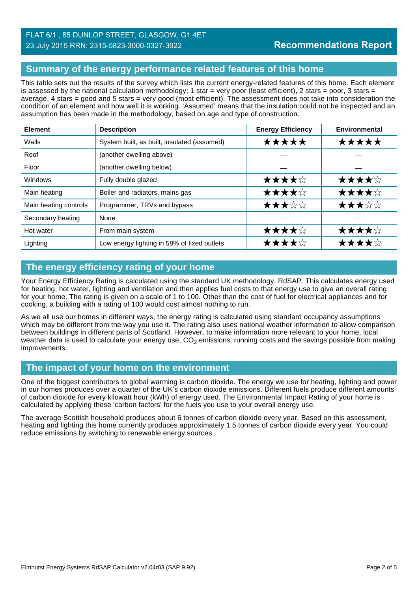# **Summary of the energy performance related features of this home**

This table sets out the results of the survey which lists the current energy-related features of this home. Each element is assessed by the national calculation methodology; 1 star = very poor (least efficient), 2 stars = poor, 3 stars = average, 4 stars = good and 5 stars = very good (most efficient). The assessment does not take into consideration the condition of an element and how well it is working. 'Assumed' means that the insulation could not be inspected and an assumption has been made in the methodology, based on age and type of construction.

| <b>Element</b>        | <b>Description</b>                          | <b>Energy Efficiency</b> | <b>Environmental</b> |
|-----------------------|---------------------------------------------|--------------------------|----------------------|
| Walls                 | System built, as built, insulated (assumed) | *****                    | ★★★★★                |
| Roof                  | (another dwelling above)                    |                          |                      |
| Floor                 | (another dwelling below)                    |                          |                      |
| <b>Windows</b>        | Fully double glazed                         | ★★★★☆                    | ★★★★☆                |
| Main heating          | Boiler and radiators, mains gas             | ★★★★☆                    | ★★★★☆                |
| Main heating controls | Programmer, TRVs and bypass                 | ★★★☆☆                    | ★★★☆☆                |
| Secondary heating     | None                                        |                          |                      |
| Hot water             | From main system                            | ★★★★☆                    | ★★★★☆                |
| Lighting              | Low energy lighting in 58% of fixed outlets | ★★★★☆                    | ★★★★☆                |

# **The energy efficiency rating of your home**

Your Energy Efficiency Rating is calculated using the standard UK methodology, RdSAP. This calculates energy used for heating, hot water, lighting and ventilation and then applies fuel costs to that energy use to give an overall rating for your home. The rating is given on a scale of 1 to 100. Other than the cost of fuel for electrical appliances and for cooking, a building with a rating of 100 would cost almost nothing to run.

As we all use our homes in different ways, the energy rating is calculated using standard occupancy assumptions which may be different from the way you use it. The rating also uses national weather information to allow comparison between buildings in different parts of Scotland. However, to make information more relevant to your home, local weather data is used to calculate your energy use,  $CO<sub>2</sub>$  emissions, running costs and the savings possible from making improvements.

## **The impact of your home on the environment**

One of the biggest contributors to global warming is carbon dioxide. The energy we use for heating, lighting and power in our homes produces over a quarter of the UK's carbon dioxide emissions. Different fuels produce different amounts of carbon dioxide for every kilowatt hour (kWh) of energy used. The Environmental Impact Rating of your home is calculated by applying these 'carbon factors' for the fuels you use to your overall energy use.

The average Scottish household produces about 6 tonnes of carbon dioxide every year. Based on this assessment, heating and lighting this home currently produces approximately 1.5 tonnes of carbon dioxide every year. You could reduce emissions by switching to renewable energy sources.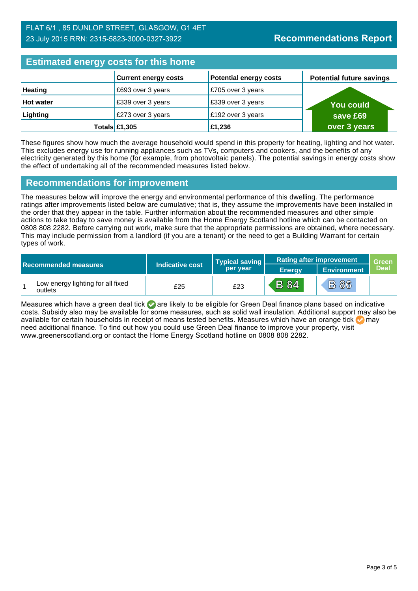# FLAT 6/1 , 85 DUNLOP STREET, GLASGOW, G1 4ET 23 July 2015 RRN: 2315-5823-3000-0327-3922

# **Estimated energy costs for this home**

| <b>EDITION OF STRING AND TO MANY HOLDING</b> |                             |                               |                                 |  |  |
|----------------------------------------------|-----------------------------|-------------------------------|---------------------------------|--|--|
|                                              | <b>Current energy costs</b> | <b>Potential energy costs</b> | <b>Potential future savings</b> |  |  |
| <b>Heating</b>                               | £693 over 3 years           | E705 over 3 years             |                                 |  |  |
| <b>Hot water</b>                             | £339 over 3 years           | £339 over 3 years             | <b>You could</b>                |  |  |
| Lighting                                     | £273 over 3 years           | £192 over 3 years             | save £69                        |  |  |
|                                              | Totals $£1,305$             | £1,236                        | over 3 years                    |  |  |

These figures show how much the average household would spend in this property for heating, lighting and hot water. This excludes energy use for running appliances such as TVs, computers and cookers, and the benefits of any electricity generated by this home (for example, from photovoltaic panels). The potential savings in energy costs show the effect of undertaking all of the recommended measures listed below.

## **Recommendations for improvement**

The measures below will improve the energy and environmental performance of this dwelling. The performance ratings after improvements listed below are cumulative; that is, they assume the improvements have been installed in the order that they appear in the table. Further information about the recommended measures and other simple actions to take today to save money is available from the Home Energy Scotland hotline which can be contacted on 0808 808 2282. Before carrying out work, make sure that the appropriate permissions are obtained, where necessary. This may include permission from a landlord (if you are a tenant) or the need to get a Building Warrant for certain types of work.

| Indicative cost<br><b>Recommended measures</b> |                                              |     | <b>Typical saving</b> | <b>Rating after improvement</b> |                    | Green       |
|------------------------------------------------|----------------------------------------------|-----|-----------------------|---------------------------------|--------------------|-------------|
|                                                |                                              |     | per year              | <b>Energy</b>                   | <b>Environment</b> | <b>Deal</b> |
|                                                | Low energy lighting for all fixed<br>outlets | £25 | £23                   | <b>B</b> 84                     | <b>B86</b>         |             |

Measures which have a green deal tick  $\bullet$  are likely to be eligible for Green Deal finance plans based on indicative costs. Subsidy also may be available for some measures, such as solid wall insulation. Additional support may also be available for certain households in receipt of means tested benefits. Measures which have an orange tick **on** may need additional finance. To find out how you could use Green Deal finance to improve your property, visit www.greenerscotland.org or contact the Home Energy Scotland hotline on 0808 808 2282.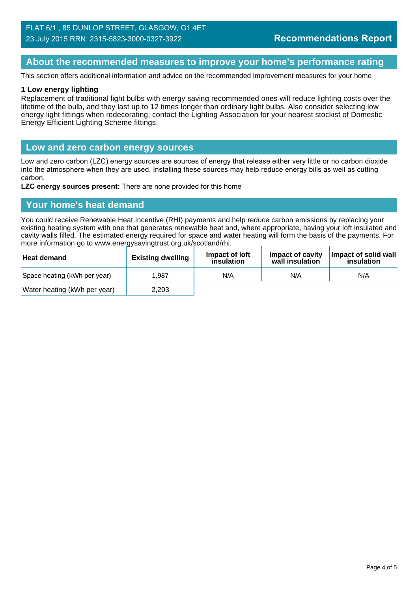# **About the recommended measures to improve your home's performance rating**

This section offers additional information and advice on the recommended improvement measures for your home

#### **1 Low energy lighting**

Replacement of traditional light bulbs with energy saving recommended ones will reduce lighting costs over the lifetime of the bulb, and they last up to 12 times longer than ordinary light bulbs. Also consider selecting low energy light fittings when redecorating; contact the Lighting Association for your nearest stockist of Domestic Energy Efficient Lighting Scheme fittings.

#### **Low and zero carbon energy sources**

Low and zero carbon (LZC) energy sources are sources of energy that release either very little or no carbon dioxide into the atmosphere when they are used. Installing these sources may help reduce energy bills as well as cutting carbon.

**LZC energy sources present:** There are none provided for this home

### **Your home's heat demand**

You could receive Renewable Heat Incentive (RHI) payments and help reduce carbon emissions by replacing your existing heating system with one that generates renewable heat and, where appropriate, having your loft insulated and cavity walls filled. The estimated energy required for space and water heating will form the basis of the payments. For more information go to www.energysavingtrust.org.uk/scotland/rhi.

| <b>Heat demand</b>           | <b>Existing dwelling</b> | Impact of loft<br>insulation | Impact of cavity<br>wall insulation | Impact of solid wall<br>insulation |
|------------------------------|--------------------------|------------------------------|-------------------------------------|------------------------------------|
| Space heating (kWh per year) | 1.987                    | N/A                          | N/A                                 | N/A                                |
| Water heating (kWh per year) | 2,203                    |                              |                                     |                                    |